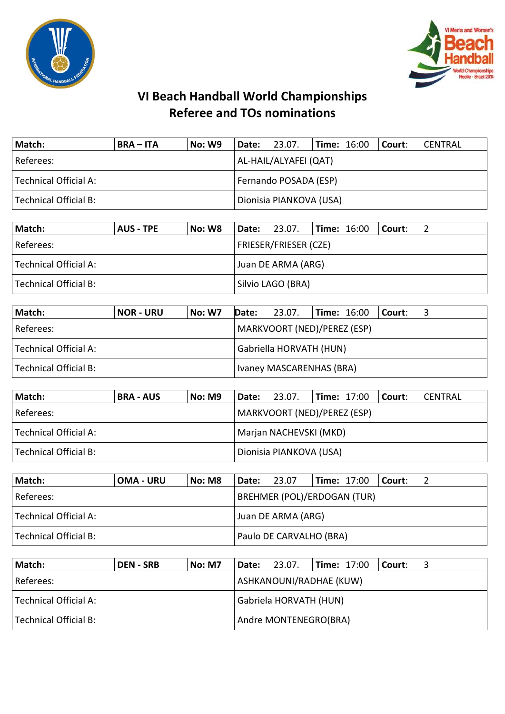



| Match:                                           | <b>BRA – ITA</b> | No: W9 | Date: 23.07.            |  | <b>Time: 16:00</b> |  | Court: | CENTRAL |
|--------------------------------------------------|------------------|--------|-------------------------|--|--------------------|--|--------|---------|
| Referees:                                        |                  |        | AL-HAIL/ALYAFEI (QAT)   |  |                    |  |        |         |
| Fernando POSADA (ESP)<br>  Technical Official A: |                  |        |                         |  |                    |  |        |         |
| Technical Official B:                            |                  |        | Dionisia PIANKOVA (USA) |  |                    |  |        |         |

| Match:                | <b>AUS - TPE</b> | <b>No: W8</b> |                              | <b>Date: 23.07.</b> |  |  | $\blacksquare$ Time: 16:00 $\blacksquare$ Court: |  |  |
|-----------------------|------------------|---------------|------------------------------|---------------------|--|--|--------------------------------------------------|--|--|
| Referees:             |                  |               | <b>FRIESER/FRIESER (CZE)</b> |                     |  |  |                                                  |  |  |
| Technical Official A: |                  |               | Juan DE ARMA (ARG)           |                     |  |  |                                                  |  |  |
| Technical Official B: |                  |               | Silvio LAGO (BRA)            |                     |  |  |                                                  |  |  |

| Match:                | <b>NOR - URU</b> | <b>No: W7</b> | Date: | 23.07.                      | $\textsf{Time: } 16:00$ |  | l Court: |  |  |
|-----------------------|------------------|---------------|-------|-----------------------------|-------------------------|--|----------|--|--|
| Referees:             |                  |               |       | MARKVOORT (NED)/PEREZ (ESP) |                         |  |          |  |  |
| Technical Official A: |                  |               |       | Gabriella HORVATH (HUN)     |                         |  |          |  |  |
| Technical Official B: |                  |               |       | Ivaney MASCARENHAS (BRA)    |                         |  |          |  |  |

| Match:                | <b>BRA - AUS</b> | <b>No: M9</b> | l Date:                 | 23.07.                      | <b>Time: 17:00</b> |  | l Court: | CENTRAL |  |  |
|-----------------------|------------------|---------------|-------------------------|-----------------------------|--------------------|--|----------|---------|--|--|
| l Referees:           |                  |               |                         | MARKVOORT (NED)/PEREZ (ESP) |                    |  |          |         |  |  |
| Technical Official A: |                  |               |                         | Marjan NACHEVSKI (MKD)      |                    |  |          |         |  |  |
| Technical Official B: |                  |               | Dionisia PIANKOVA (USA) |                             |                    |  |          |         |  |  |

| Match:                | <b>OMA - URU</b> | No: M8 | Date:              | 23.07                              |  | <b>Time: 17:00</b> | l Court: |  |
|-----------------------|------------------|--------|--------------------|------------------------------------|--|--------------------|----------|--|
| Referees:             |                  |        |                    | <b>BREHMER (POL)/ERDOGAN (TUR)</b> |  |                    |          |  |
| Technical Official A: |                  |        | Juan DE ARMA (ARG) |                                    |  |                    |          |  |
| Technical Official B: |                  |        |                    | Paulo DE CARVALHO (BRA)            |  |                    |          |  |

| Match:                | <b>DEN - SRB</b> | <b>No: M7</b> |                       | Date: 23.07.            | <b>Time: 17:00</b> |  | l Court: I |  |  |
|-----------------------|------------------|---------------|-----------------------|-------------------------|--------------------|--|------------|--|--|
| Referees:             |                  |               |                       | ASHKANOUNI/RADHAE (KUW) |                    |  |            |  |  |
| Technical Official A: |                  |               |                       | Gabriela HORVATH (HUN)  |                    |  |            |  |  |
| Technical Official B: |                  |               | Andre MONTENEGRO(BRA) |                         |                    |  |            |  |  |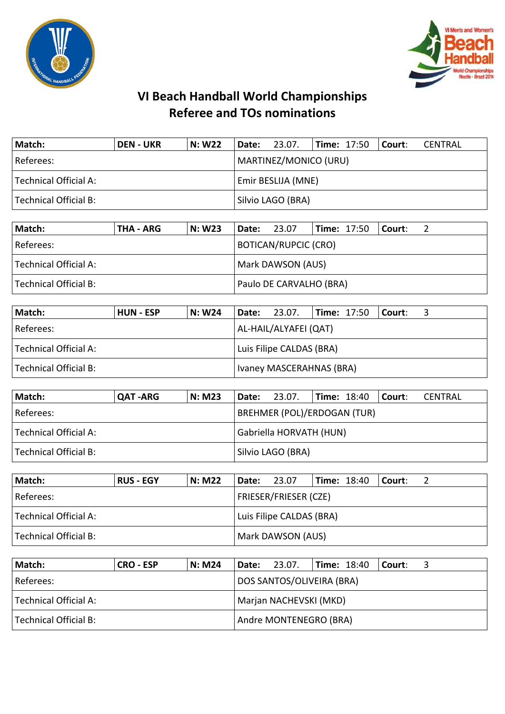



| Match:                | <b>DEN - UKR</b> | N: W22             | $ $ Date: 23.07.  |  | $ Time: 17:50$ $ Counter:$ |                       |  | CENTRAL |  |  |  |  |  |
|-----------------------|------------------|--------------------|-------------------|--|----------------------------|-----------------------|--|---------|--|--|--|--|--|
| Referees:             |                  |                    |                   |  |                            | MARTINEZ/MONICO (URU) |  |         |  |  |  |  |  |
| Technical Official A: |                  | Emir BESLIJA (MNE) |                   |  |                            |                       |  |         |  |  |  |  |  |
| Technical Official B: |                  |                    | Silvio LAGO (BRA) |  |                            |                       |  |         |  |  |  |  |  |

| Match:                | THA - ARG | N: W23            | Date:                       | 23.07 |  | <b>Time: 17:50</b> | l Court: I |  |  |
|-----------------------|-----------|-------------------|-----------------------------|-------|--|--------------------|------------|--|--|
| Referees:             |           |                   | <b>BOTICAN/RUPCIC (CRO)</b> |       |  |                    |            |  |  |
| Technical Official A: |           | Mark DAWSON (AUS) |                             |       |  |                    |            |  |  |
| Technical Official B: |           |                   | Paulo DE CARVALHO (BRA)     |       |  |                    |            |  |  |

| Match:                | <b>HUN - ESP</b> | N: W24                   | <b>Date:</b> 23.07.      |  | $\textsf{Time: } 17:50$   Court: |  |  |  |
|-----------------------|------------------|--------------------------|--------------------------|--|----------------------------------|--|--|--|
| Referees:             |                  |                          | AL-HAIL/ALYAFEI (QAT)    |  |                                  |  |  |  |
| Technical Official A: |                  | Luis Filipe CALDAS (BRA) |                          |  |                                  |  |  |  |
| Technical Official B: |                  |                          | Ivaney MASCERAHNAS (BRA) |  |                                  |  |  |  |

| Match:                | <b>QAT-ARG</b> | <b>N: M23</b> | Date:                              | 23.07. | <b>Time: 18:40</b> |  | l Court: | CENTRAL |  |
|-----------------------|----------------|---------------|------------------------------------|--------|--------------------|--|----------|---------|--|
| l Referees:           |                |               | <b>BREHMER (POL)/ERDOGAN (TUR)</b> |        |                    |  |          |         |  |
| Technical Official A: |                |               | Gabriella HORVATH (HUN)            |        |                    |  |          |         |  |
| Technical Official B: |                |               | Silvio LAGO (BRA)                  |        |                    |  |          |         |  |

| Match:                | <b>RUS - EGY</b>         | N: M22 | Date: | 23.07                        |  | <b>Time: 18:40</b> | l Court: |  |
|-----------------------|--------------------------|--------|-------|------------------------------|--|--------------------|----------|--|
| Referees:             |                          |        |       | <b>FRIESER/FRIESER (CZE)</b> |  |                    |          |  |
| Technical Official A: | Luis Filipe CALDAS (BRA) |        |       |                              |  |                    |          |  |
| Technical Official B: |                          |        |       | Mark DAWSON (AUS)            |  |                    |          |  |

| Match:                                          | <b>CRO - ESP</b> | N: M24 |                        | Date: 23.07.              | <b>Time: 18:40</b> |  | Court: |  |
|-------------------------------------------------|------------------|--------|------------------------|---------------------------|--------------------|--|--------|--|
| Referees:                                       |                  |        |                        | DOS SANTOS/OLIVEIRA (BRA) |                    |  |        |  |
| Technical Official A:<br>Marjan NACHEVSKI (MKD) |                  |        |                        |                           |                    |  |        |  |
| Technical Official B:                           |                  |        | Andre MONTENEGRO (BRA) |                           |                    |  |        |  |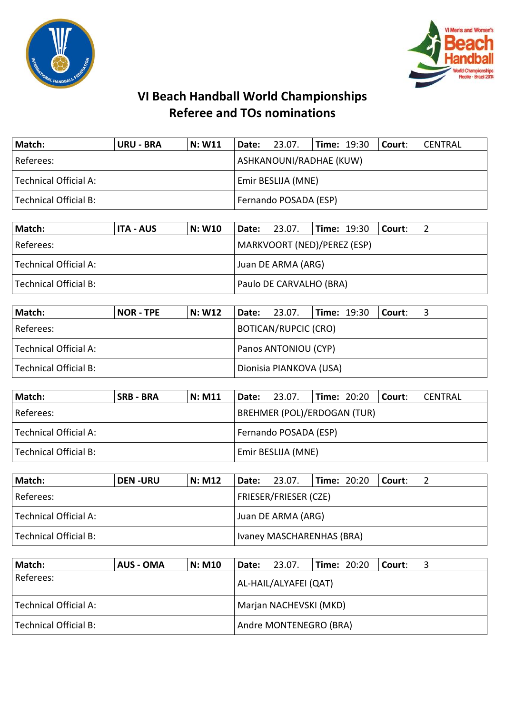



| Match:                | <b>URU - BRA</b>   | N: W11 | $\vert$ Date: 23.07.    |  |  |  | $\textsf{Time: } 19:30$ Court: | CENTRAL |
|-----------------------|--------------------|--------|-------------------------|--|--|--|--------------------------------|---------|
| Referees:             |                    |        | ASHKANOUNI/RADHAE (KUW) |  |  |  |                                |         |
| Technical Official A: | Emir BESLIJA (MNE) |        |                         |  |  |  |                                |         |
| Technical Official B: |                    |        | Fernando POSADA (ESP)   |  |  |  |                                |         |

| Match:                | ITA - AUS | N: W10 | Date:                   | 23.07.                      | $\textsf{Time: } 19:30$ |  | l Court: l |  |  |
|-----------------------|-----------|--------|-------------------------|-----------------------------|-------------------------|--|------------|--|--|
| Referees:             |           |        |                         | MARKVOORT (NED)/PEREZ (ESP) |                         |  |            |  |  |
| Technical Official A: |           |        | Juan DE ARMA (ARG)      |                             |                         |  |            |  |  |
| Technical Official B: |           |        | Paulo DE CARVALHO (BRA) |                             |                         |  |            |  |  |

| Match:                  | <b>NOR - TPE</b> | N: W12 |                             | $ $ Date: 23.07.        |  | $\vert$ Time: 19:30 $\vert$ Court: |  |  |
|-------------------------|------------------|--------|-----------------------------|-------------------------|--|------------------------------------|--|--|
| Referees:               |                  |        |                             | BOTICAN/RUPCIC (CRO)    |  |                                    |  |  |
| Technical Official A:   |                  |        | <b>Panos ANTONIOU (CYP)</b> |                         |  |                                    |  |  |
| l Technical Official B: |                  |        |                             | Dionisia PIANKOVA (USA) |  |                                    |  |  |

| Match:                | SRB - BRA | <b>N: M11</b> | Date:                              | 23.07. |  | <b>Time: 20:20</b> | Court: | CENTRAL |  |
|-----------------------|-----------|---------------|------------------------------------|--------|--|--------------------|--------|---------|--|
| l Referees: l         |           |               | <b>BREHMER (POL)/ERDOGAN (TUR)</b> |        |  |                    |        |         |  |
| Technical Official A: |           |               | Fernando POSADA (ESP)              |        |  |                    |        |         |  |
| Technical Official B: |           |               | Emir BESLIJA (MNE)                 |        |  |                    |        |         |  |

| Match:                | <b>DEN-URU</b> | N: M12 | <b>Date:</b> 23.07. |                              |  | <b>Time: 20:20</b> | l Court: |  |  |
|-----------------------|----------------|--------|---------------------|------------------------------|--|--------------------|----------|--|--|
| Referees:             |                |        |                     | <b>FRIESER/FRIESER (CZE)</b> |  |                    |          |  |  |
| Technical Official A: |                |        | Juan DE ARMA (ARG)  |                              |  |                    |          |  |  |
| Technical Official B: |                |        |                     | Ivaney MASCHARENHAS (BRA)    |  |                    |          |  |  |

| Match:                | AUS - OMA | <b>N: M10</b> | Date:                  | 23.07. | $ Time: 20:20$ $ Counter:$ |  |  |  |  |
|-----------------------|-----------|---------------|------------------------|--------|----------------------------|--|--|--|--|
| Referees:             |           |               | AL-HAIL/ALYAFEI (QAT)  |        |                            |  |  |  |  |
| Technical Official A: |           |               | Marjan NACHEVSKI (MKD) |        |                            |  |  |  |  |
| Technical Official B: |           |               | Andre MONTENEGRO (BRA) |        |                            |  |  |  |  |